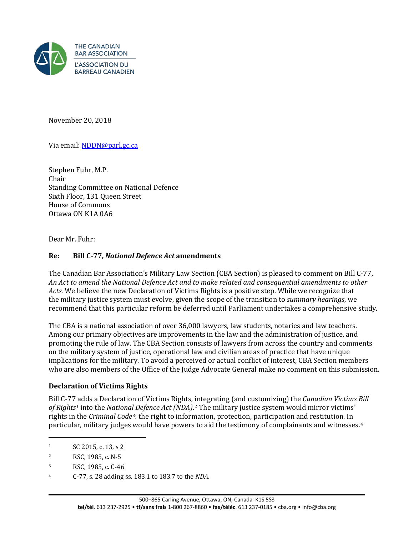

November 20, 2018

Via email: [NDDN@parl.gc.ca](mailto:NDDN@parl.gc.ca) 

Stephen Fuhr, M.P. Chair Standing Committee on National Defence Sixth Floor, 131 Queen Street House of Commons Ottawa ON K1A 0A6

Dear Mr. Fuhr:

### **Re: Bill C-77,** *National Defence Act* **amendments**

The Canadian Bar Association's Military Law Section (CBA Section) is pleased to comment on Bill C-77, *An Act to amend the National Defence Act and to make related and consequential amendments to other Acts*. We believe the new Declaration of Victims Rights is a positive step. While we recognize that the military justice system must evolve, given the scope of the transition to *summary hearings*, we recommend that this particular reform be deferred until Parliament undertakes a comprehensive study.

The CBA is a national association of over 36,000 lawyers, law students, notaries and law teachers. Among our primary objectives are improvements in the law and the administration of justice, and promoting the rule of law. The CBA Section consists of lawyers from across the country and comments on the military system of justice, operational law and civilian areas of practice that have unique implications for the military. To avoid a perceived or actual conflict of interest, CBA Section members who are also members of the Office of the Judge Advocate General make no comment on this submission.

#### **Declaration of Victims Rights**

Bill C-77 adds a Declaration of Victims Rights*,* [in](#page-0-1)tegrating (and customizing) the *Canadian Victims Bill of Rights[1](#page-0-0)* into the *Nationa[l](#page-0-2) Defence Act (NDA)*.2 The military justice system would mirror victims' rights in the *Criminal Code*3: the right to information, protection, participation and restitution. In particular, military judges would have powers to aid the testimony of complainants and witnesses.[4](#page-0-3)

j

<span id="page-0-0"></span><sup>1</sup> SC 2015, c. 13, s 2

<span id="page-0-1"></span><sup>2</sup> RSC, 1985, c. N-5

<span id="page-0-2"></span><sup>3</sup> RSC, 1985, c. C-46

<span id="page-0-3"></span><sup>4</sup> C-77, s. 28 adding ss. 183.1 to 183.7 to the *NDA*.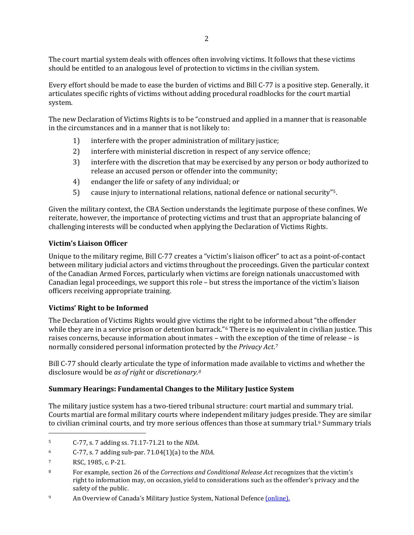The court martial system deals with offences often involving victims. It follows that these victims should be entitled to an analogous level of protection to victims in the civilian system.

Every effort should be made to ease the burden of victims and Bill C-77 is a positive step. Generally, it articulates specific rights of victims without adding procedural roadblocks for the court martial system.

The new Declaration of Victims Rights is to be "construed and applied in a manner that is reasonable in the circumstances and in a manner that is not likely to:

- 1) interfere with the proper administration of military justice;
- 2) interfere with ministerial discretion in respect of any service offence;
- 3) interfere with the discretion that may be exercised by any person or body authorized to release an accused person or offender into the community;
- 4) endanger the life or safety of any individual; or
- 5) cause injury to international relations, national defence or national security"[5.](#page-1-0)

Given the military context, the CBA Section understands the legitimate purpose of these confines. We reiterate, however, the importance of protecting victims and trust that an appropriate balancing of challenging interests will be conducted when applying the Declaration of Victims Rights.

## **Victim's Liaison Officer**

Unique to the military regime, Bill C-77 creates a "victim's liaison officer" to act as a point-of-contact between military judicial actors and victims throughout the proceedings. Given the particular context of the Canadian Armed Forces, particularly when victims are foreign nationals unaccustomed with Canadian legal proceedings, we support this role – but stress the importance of the victim's liaison officers receiving appropriate training.

# **Victims' Right to be Informed**

The Declaration of Victims Rights would give victims the right to be informed about "the offender while they are in a service prison or detention barrack."<sup>[6](#page-1-1)</sup> There is no equivalent in civilian justice. This raises concerns, because information about inmates – with the exceptio[n](#page-1-2) of the time of release – is normally considered personal information protected by the *Privacy Act*.7

Bill C-77 should clearly articulate the type of information made available to victims and whether the disclosure would be *as of right* or *discretionary.[8](#page-1-3)*

### **Summary Hearings: Fundamental Changes to the Military Justice System**

The military justice system has a two-tiered tribunal structure: court martial and summary trial. Courts martial are formal military courts where independent military judges preside. They are similar to civilian criminal courts, and try more serious offences than those at summary trial.<sup>9</sup> Summary trials

j

<span id="page-1-0"></span><sup>5</sup> C-77, s. 7 adding ss. 71.17-71.21 to the *NDA.*

<span id="page-1-1"></span><sup>6</sup> C-77, s. 7 adding sub-par. 71.04(1)(a) to the *NDA*.

<span id="page-1-2"></span><sup>7</sup> RSC, 1985, c. P-21.

<span id="page-1-3"></span><sup>8</sup> For example, section 26 of the *Corrections and Conditional Release Act* recognizes that the victim's right to information may, on occasion, yield to considerations such as the offender's privacy and the safety of the public.

<span id="page-1-4"></span><sup>&</sup>lt;sup>9</sup> An Overview of Canada's Military Justice System, National Defence *(online)*.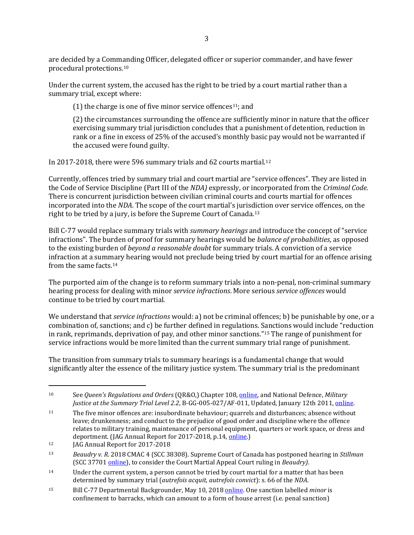are decided by a Comm[an](#page-2-0)ding Officer, delegated officer or superior commander, and have fewer procedural protections.10

Under the current system, the accused has the right to be tried by a court martial rather than a summary trial, except where:

(1) the charge is one of five minor service offences<sup>11</sup>; and

(2) the circumstances surrounding the offence are sufficiently minor in nature that the officer exercising summary trial jurisdiction concludes that a punishment of detention, reduction in rank or a fine in excess of 25% of the accused's monthly basic pay would not be warranted if the accused were found guilty.

In 2017-2018, there were 596 summary trials and 62 courts martial.[12](#page-2-2) 

Currently, offences tried by summary trial and court martial are "service offences". They are listed in the Code of Service Discipline (Part III of the *NDA)* expressly, or incorporated from the *Criminal Code*. There is concurrent jurisdiction between civilian criminal courts and courts martial for offences incorporated into the *NDA*. The scope of the court martial's jurisdiction over service offences, on the right to be tried by a jury, is before the Supreme Court of Canada.[13](#page-2-3)

Bill C-77 would replace summary trials with *summary hearings* and introduce the concept of "service infractions". The burden of proof for summary hearings would be *balance of probabilities*, as opposed to the existing burden of *beyond a reasonable doubt* for summary trials. A conviction of a service infraction at a summary hearing would not preclude being tried by court martial for an offence arising from the same facts.[14](#page-2-4)

The purported aim of the change is to reform summary trials into a non-penal, non-criminal summary hearing process for dealing with minor *service infractions*. More serious *service offences* would continue to be tried by court martial.

We understand that *service infractions* would: a) not be criminal offences; b) be punishable by one, or a combination of, sanctions; and c) be further defined in regulations. Sanctions would include "reduction in rank, reprimands, deprivation of pay, and other minor sanctions."[15](#page-2-5) The range of punishment for service infractions would be more limited than the current summary trial range of punishment.

The transition from summary trials to summary hearings is a fundamental change that would significantly alter the essence of the military justice system. The summary trial is the predominant

<span id="page-2-0"></span>j 10 See *Queen's Regulations and Orders* (QR&O,) Chapter 108[, online,](http://www.forces.gc.ca/en/about-policies-standards-queens-regulations-orders-vol-02/toc-108.page) and National Defence, *Military Justice at the Summary Trial Level 2.2*, B-GG-005-027/AF-011, Updated, January 12th 2011, [online.](http://www.forces.gc.ca/en/about-reports-pubs-military-law-summary-trial-level/index.page)

<span id="page-2-1"></span><sup>&</sup>lt;sup>11</sup> The five minor offences are: insubordinate behaviour; quarrels and disturbances; absence without leave; drunkenness; and conduct to the prejudice of good order and discipline where the offence relates to military training, maintenance of personal equipment, quarters or work space, or dress and deportment. (JAG Annual Report for 2017-2018, p.14[, online.\)](http://www.forces.gc.ca/en/about-reports-pubs-military-law/index.page)

<span id="page-2-2"></span><sup>&</sup>lt;sup>12</sup> JAG Annual Report for 2017-2018

<span id="page-2-3"></span><sup>13</sup> *Beaudry v. R.* 2018 CMAC 4 (SCC 38308). Supreme Court of Canada has postponed hearing in *Stillman* (SCC 37701 [online\)](https://www.scc-csc.ca/case-dossier/info/dock-regi-eng.aspx?cas=37701), to consider the Court Martial Appeal Court ruling in *Beaudry)*.

<span id="page-2-4"></span><sup>&</sup>lt;sup>14</sup> Under the current system, a person cannot be tried by court martial for a matter that has been determined by summary trial (*autrefois acquit, autrefois convict*): s. 66 of the *NDA*.

<span id="page-2-5"></span><sup>15</sup> Bill C-77 Departmental Backgrounder, May 10, 2018 [online.](https://www.canada.ca/en/department-national-defence/news/2018/05/enhancing-victims-rights-in-the-military-justice-system-an-act-to-amend-the-national-defence-act-and-to-make-related-and-consequential-amendments-t.html) One sanction labelled *minor* is confinement to barracks, which can amount to a form of house arrest (i.e. penal sanction)